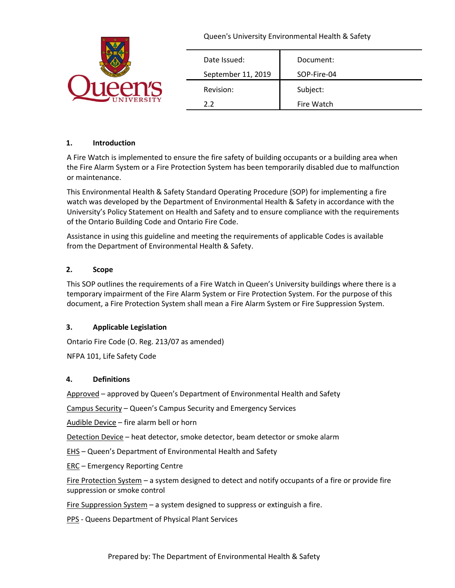|                 | Queen's University Environmental Health & Safety |             |
|-----------------|--------------------------------------------------|-------------|
|                 | Date Issued:                                     | Document:   |
| An's            | September 11, 2019                               | SOP-Fire-04 |
|                 | Revision:                                        | Subject:    |
| <b>IVERSITY</b> | 2.2                                              | Fire Watch  |

# **1. Introduction**

A Fire Watch is implemented to ensure the fire safety of building occupants or a building area when the Fire Alarm System or a Fire Protection System has been temporarily disabled due to malfunction or maintenance.

This Environmental Health & Safety Standard Operating Procedure (SOP) for implementing a fire watch was developed by the Department of Environmental Health & Safety in accordance with the University's Policy Statement on Health and Safety and to ensure compliance with the requirements of the Ontario Building Code and Ontario Fire Code.

Assistance in using this guideline and meeting the requirements of applicable Codes is available from the Department of Environmental Health & Safety.

# **2. Scope**

This SOP outlines the requirements of a Fire Watch in Queen's University buildings where there is a temporary impairment of the Fire Alarm System or Fire Protection System. For the purpose of this document, a Fire Protection System shall mean a Fire Alarm System or Fire Suppression System.

#### **3. Applicable Legislation**

Ontario Fire Code (O. Reg. 213/07 as amended)

NFPA 101, Life Safety Code

#### **4. Definitions**

Approved – approved by Queen's Department of Environmental Health and Safety

Campus Security – Queen's Campus Security and Emergency Services

Audible Device – fire alarm bell or horn

Detection Device – heat detector, smoke detector, beam detector or smoke alarm

EHS – Queen's Department of Environmental Health and Safety

ERC – Emergency Reporting Centre

Fire Protection System – a system designed to detect and notify occupants of a fire or provide fire suppression or smoke control

Fire Suppression System – a system designed to suppress or extinguish a fire.

PPS - Queens Department of Physical Plant Services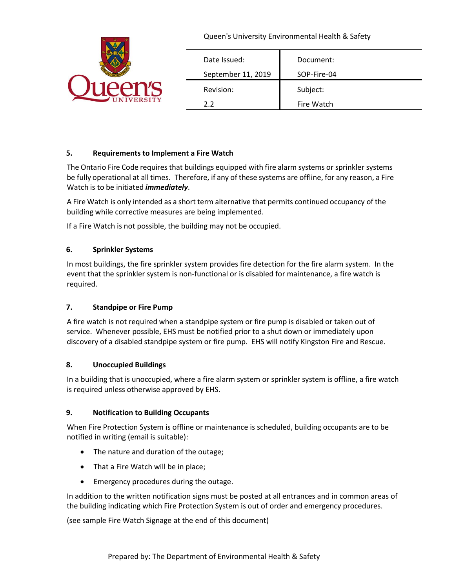|                 |                    | Queen's University Environmental Health & Safety |
|-----------------|--------------------|--------------------------------------------------|
|                 | Date Issued:       | Document:                                        |
| <b>PATIS</b>    | September 11, 2019 | SOP-Fire-04                                      |
|                 | Revision:          | Subject:                                         |
| <b>TVERSITY</b> | 2.2                | Fire Watch                                       |

# **5. Requirements to Implement a Fire Watch**

The Ontario Fire Code requires that buildings equipped with fire alarm systems or sprinkler systems be fully operational at all times. Therefore, if any of these systems are offline, for any reason, a Fire Watch is to be initiated *immediately*.

A Fire Watch is only intended as a short term alternative that permits continued occupancy of the building while corrective measures are being implemented.

If a Fire Watch is not possible, the building may not be occupied.

# **6. Sprinkler Systems**

In most buildings, the fire sprinkler system provides fire detection for the fire alarm system. In the event that the sprinkler system is non-functional or is disabled for maintenance, a fire watch is required.

#### **7. Standpipe or Fire Pump**

A fire watch is not required when a standpipe system or fire pump is disabled or taken out of service. Whenever possible, EHS must be notified prior to a shut down or immediately upon discovery of a disabled standpipe system or fire pump. EHS will notify Kingston Fire and Rescue.

#### **8. Unoccupied Buildings**

In a building that is unoccupied, where a fire alarm system or sprinkler system is offline, a fire watch is required unless otherwise approved by EHS.

#### **9. Notification to Building Occupants**

When Fire Protection System is offline or maintenance is scheduled, building occupants are to be notified in writing (email is suitable):

- The nature and duration of the outage;
- That a Fire Watch will be in place;
- Emergency procedures during the outage.

In addition to the written notification signs must be posted at all entrances and in common areas of the building indicating which Fire Protection System is out of order and emergency procedures.

(see sample Fire Watch Signage at the end of this document)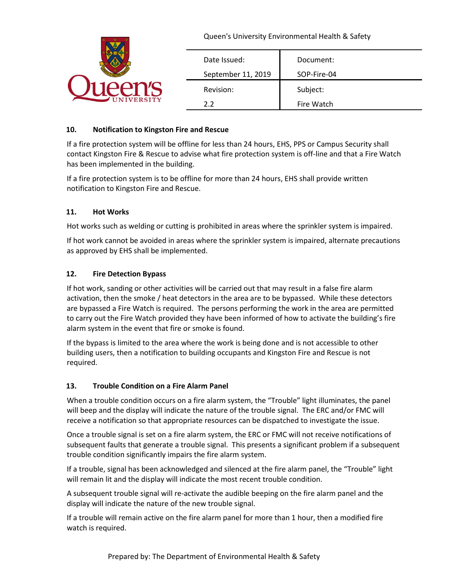|                 | Queen's University Environmental Health & Safety |             |
|-----------------|--------------------------------------------------|-------------|
|                 | Date Issued:                                     | Document:   |
|                 | September 11, 2019                               | SOP-Fire-04 |
|                 | Revision:                                        | Subject:    |
| <b>IVERSITY</b> | 2.2                                              | Fire Watch  |

# **10. Notification to Kingston Fire and Rescue**

If a fire protection system will be offline for less than 24 hours, EHS, PPS or Campus Security shall contact Kingston Fire & Rescue to advise what fire protection system is off-line and that a Fire Watch has been implemented in the building.

If a fire protection system is to be offline for more than 24 hours, EHS shall provide written notification to Kingston Fire and Rescue.

# **11. Hot Works**

Hot works such as welding or cutting is prohibited in areas where the sprinkler system is impaired.

If hot work cannot be avoided in areas where the sprinkler system is impaired, alternate precautions as approved by EHS shall be implemented.

# **12. Fire Detection Bypass**

If hot work, sanding or other activities will be carried out that may result in a false fire alarm activation, then the smoke / heat detectors in the area are to be bypassed. While these detectors are bypassed a Fire Watch is required. The persons performing the work in the area are permitted to carry out the Fire Watch provided they have been informed of how to activate the building's fire alarm system in the event that fire or smoke is found.

If the bypass is limited to the area where the work is being done and is not accessible to other building users, then a notification to building occupants and Kingston Fire and Rescue is not required.

#### **13. Trouble Condition on a Fire Alarm Panel**

When a trouble condition occurs on a fire alarm system, the "Trouble" light illuminates, the panel will beep and the display will indicate the nature of the trouble signal. The ERC and/or FMC will receive a notification so that appropriate resources can be dispatched to investigate the issue.

Once a trouble signal is set on a fire alarm system, the ERC or FMC will not receive notifications of subsequent faults that generate a trouble signal. This presents a significant problem if a subsequent trouble condition significantly impairs the fire alarm system.

If a trouble, signal has been acknowledged and silenced at the fire alarm panel, the "Trouble" light will remain lit and the display will indicate the most recent trouble condition.

A subsequent trouble signal will re-activate the audible beeping on the fire alarm panel and the display will indicate the nature of the new trouble signal.

If a trouble will remain active on the fire alarm panel for more than 1 hour, then a modified fire watch is required.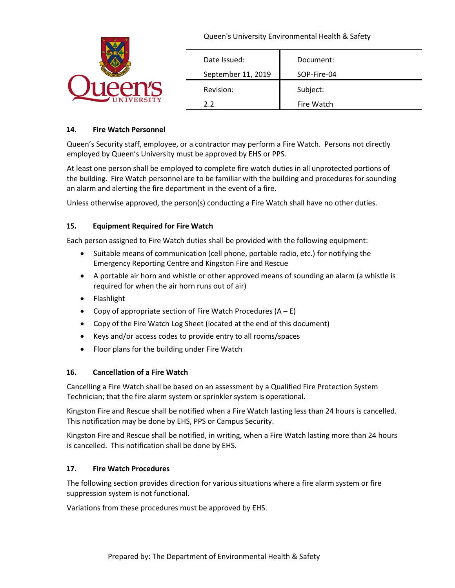|                 | Queen's University Environmental Health & Safety |             |
|-----------------|--------------------------------------------------|-------------|
|                 | Date Issued:                                     | Document:   |
| An's            | September 11, 2019                               | SOP-Fire-04 |
|                 | Revision:                                        | Subject:    |
| <b>IVERSITY</b> | 2.2                                              | Fire Watch  |

# **14. Fire Watch Personnel**

Queen's Security staff, employee, or a contractor may perform a Fire Watch. Persons not directly employed by Queen's University must be approved by EHS or PPS.

At least one person shall be employed to complete fire watch duties in all unprotected portions of the building. Fire Watch personnel are to be familiar with the building and procedures for sounding an alarm and alerting the fire department in the event of a fire.

Unless otherwise approved, the person(s) conducting a Fire Watch shall have no other duties.

# **15. Equipment Required for Fire Watch**

Each person assigned to Fire Watch duties shall be provided with the following equipment:

- Suitable means of communication (cell phone, portable radio, etc.) for notifying the Emergency Reporting Centre and Kingston Fire and Rescue
- A portable air horn and whistle or other approved means of sounding an alarm (a whistle is required for when the air horn runs out of air)
- Flashlight
- Copy of appropriate section of Fire Watch Procedures  $(A E)$
- Copy of the Fire Watch Log Sheet (located at the end of this document)
- Keys and/or access codes to provide entry to all rooms/spaces
- Floor plans for the building under Fire Watch

#### **16. Cancellation of a Fire Watch**

Cancelling a Fire Watch shall be based on an assessment by a Qualified Fire Protection System Technician; that the fire alarm system or sprinkler system is operational.

Kingston Fire and Rescue shall be notified when a Fire Watch lasting less than 24 hours is cancelled. This notification may be done by EHS, PPS or Campus Security.

Kingston Fire and Rescue shall be notified, in writing, when a Fire Watch lasting more than 24 hours is cancelled. This notification shall be done by EHS.

#### **17. Fire Watch Procedures**

The following section provides direction for various situations where a fire alarm system or fire suppression system is not functional.

Variations from these procedures must be approved by EHS.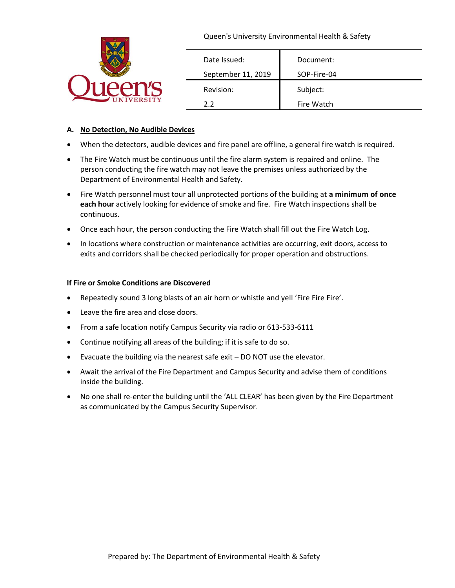|                 | Queen's University Environmental Health & Safety |             |
|-----------------|--------------------------------------------------|-------------|
|                 | Date Issued:                                     | Document:   |
| PATIS           | September 11, 2019                               | SOP-Fire-04 |
|                 | Revision:                                        | Subject:    |
| <b>IVERSITY</b> | 2.2                                              | Fire Watch  |

#### **A. No Detection, No Audible Devices**

- When the detectors, audible devices and fire panel are offline, a general fire watch is required.
- The Fire Watch must be continuous until the fire alarm system is repaired and online. The person conducting the fire watch may not leave the premises unless authorized by the Department of Environmental Health and Safety.
- Fire Watch personnel must tour all unprotected portions of the building at **a minimum of once**  each hour actively looking for evidence of smoke and fire. Fire Watch inspections shall be continuous.
- Once each hour, the person conducting the Fire Watch shall fill out the Fire Watch Log.
- In locations where construction or maintenance activities are occurring, exit doors, access to exits and corridors shall be checked periodically for proper operation and obstructions.

#### **If Fire or Smoke Conditions are Discovered**

- Repeatedly sound 3 long blasts of an air horn or whistle and yell 'Fire Fire Fire'.
- Leave the fire area and close doors.
- From a safe location notify Campus Security via radio or 613-533-6111
- Continue notifying all areas of the building; if it is safe to do so.
- Evacuate the building via the nearest safe exit DO NOT use the elevator.
- Await the arrival of the Fire Department and Campus Security and advise them of conditions inside the building.
- No one shall re-enter the building until the 'ALL CLEAR' has been given by the Fire Department as communicated by the Campus Security Supervisor.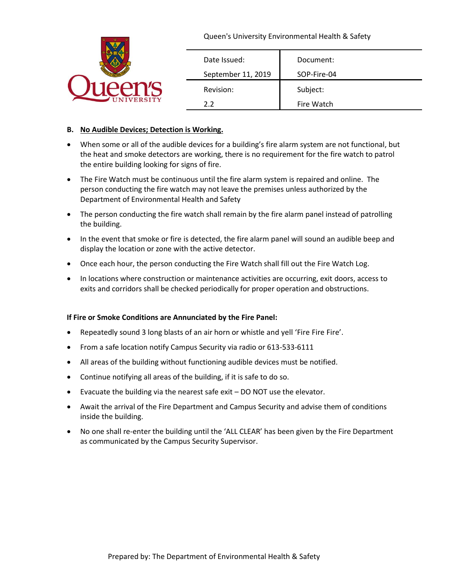|                 | Queen's University Environmental Health & Safety |             |
|-----------------|--------------------------------------------------|-------------|
|                 | Date Issued:                                     | Document:   |
| pnic            | September 11, 2019                               | SOP-Fire-04 |
|                 | Revision:                                        | Subject:    |
| <b>IVERSITY</b> | 2.2                                              | Fire Watch  |

#### **B. No Audible Devices; Detection is Working.**

- When some or all of the audible devices for a building's fire alarm system are not functional, but the heat and smoke detectors are working, there is no requirement for the fire watch to patrol the entire building looking for signs of fire.
- The Fire Watch must be continuous until the fire alarm system is repaired and online. The person conducting the fire watch may not leave the premises unless authorized by the Department of Environmental Health and Safety
- The person conducting the fire watch shall remain by the fire alarm panel instead of patrolling the building.
- In the event that smoke or fire is detected, the fire alarm panel will sound an audible beep and display the location or zone with the active detector.
- Once each hour, the person conducting the Fire Watch shall fill out the Fire Watch Log.
- In locations where construction or maintenance activities are occurring, exit doors, access to exits and corridors shall be checked periodically for proper operation and obstructions.

#### **If Fire or Smoke Conditions are Annunciated by the Fire Panel:**

- Repeatedly sound 3 long blasts of an air horn or whistle and yell 'Fire Fire Fire'.
- From a safe location notify Campus Security via radio or 613-533-6111
- All areas of the building without functioning audible devices must be notified.
- Continue notifying all areas of the building, if it is safe to do so.
- Evacuate the building via the nearest safe exit DO NOT use the elevator.
- Await the arrival of the Fire Department and Campus Security and advise them of conditions inside the building.
- No one shall re-enter the building until the 'ALL CLEAR' has been given by the Fire Department as communicated by the Campus Security Supervisor.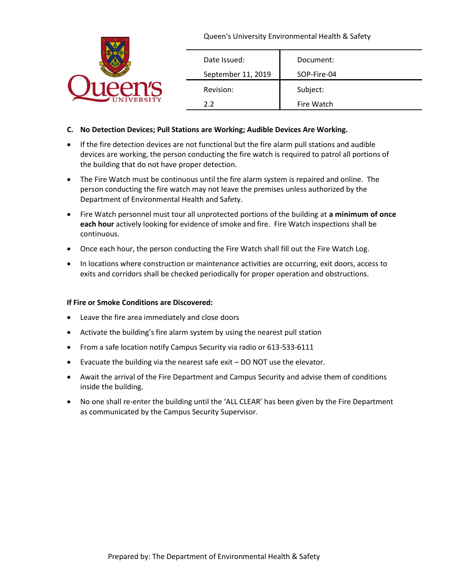|                  |                    | Queen's University Environmental Health & Safety |
|------------------|--------------------|--------------------------------------------------|
|                  | Date Issued:       | Document:                                        |
|                  | September 11, 2019 | SOP-Fire-04                                      |
|                  | Revision:          | Subject:                                         |
| <b>NIVERSITY</b> | 2.2                | Fire Watch                                       |

#### **C. No Detection Devices; Pull Stations are Working; Audible Devices Are Working.**

- If the fire detection devices are not functional but the fire alarm pull stations and audible devices are working, the person conducting the fire watch is required to patrol all portions of the building that do not have proper detection.
- The Fire Watch must be continuous until the fire alarm system is repaired and online. The person conducting the fire watch may not leave the premises unless authorized by the Department of Environmental Health and Safety.
- Fire Watch personnel must tour all unprotected portions of the building at **a minimum of once**  each hour actively looking for evidence of smoke and fire. Fire Watch inspections shall be continuous.
- Once each hour, the person conducting the Fire Watch shall fill out the Fire Watch Log.
- In locations where construction or maintenance activities are occurring, exit doors, access to exits and corridors shall be checked periodically for proper operation and obstructions.

#### **If Fire or Smoke Conditions are Discovered:**

- Leave the fire area immediately and close doors
- Activate the building's fire alarm system by using the nearest pull station
- From a safe location notify Campus Security via radio or 613-533-6111
- Evacuate the building via the nearest safe exit DO NOT use the elevator.
- Await the arrival of the Fire Department and Campus Security and advise them of conditions inside the building.
- No one shall re-enter the building until the 'ALL CLEAR' has been given by the Fire Department as communicated by the Campus Security Supervisor.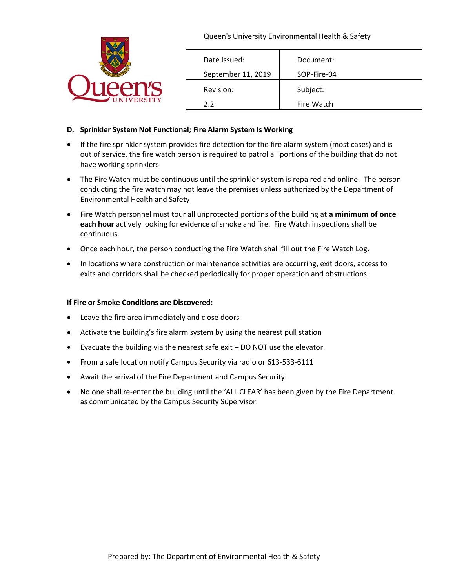|                 | Queen's University Environmental Health & Safety |             |
|-----------------|--------------------------------------------------|-------------|
|                 | Date Issued:                                     | Document:   |
|                 | September 11, 2019                               | SOP-Fire-04 |
|                 | Revision:                                        | Subject:    |
| <b>IVERSITY</b> | 2.2                                              | Fire Watch  |

#### **D. Sprinkler System Not Functional; Fire Alarm System Is Working**

- If the fire sprinkler system provides fire detection for the fire alarm system (most cases) and is out of service, the fire watch person is required to patrol all portions of the building that do not have working sprinklers
- The Fire Watch must be continuous until the sprinkler system is repaired and online. The person conducting the fire watch may not leave the premises unless authorized by the Department of Environmental Health and Safety
- Fire Watch personnel must tour all unprotected portions of the building at **a minimum of once**  each hour actively looking for evidence of smoke and fire. Fire Watch inspections shall be continuous.
- Once each hour, the person conducting the Fire Watch shall fill out the Fire Watch Log.
- In locations where construction or maintenance activities are occurring, exit doors, access to exits and corridors shall be checked periodically for proper operation and obstructions.

#### **If Fire or Smoke Conditions are Discovered:**

- Leave the fire area immediately and close doors
- Activate the building's fire alarm system by using the nearest pull station
- Evacuate the building via the nearest safe exit DO NOT use the elevator.
- From a safe location notify Campus Security via radio or 613-533-6111
- Await the arrival of the Fire Department and Campus Security.
- No one shall re-enter the building until the 'ALL CLEAR' has been given by the Fire Department as communicated by the Campus Security Supervisor.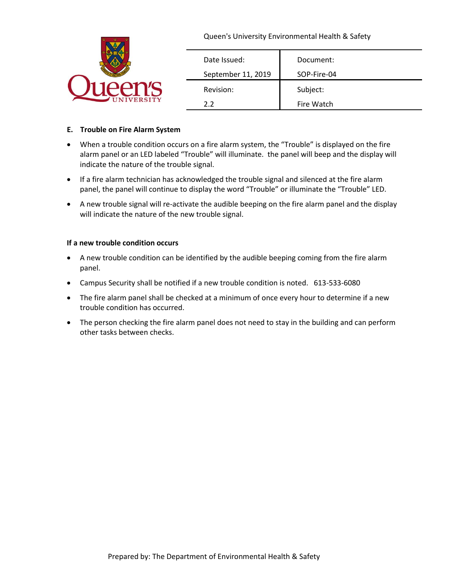|                 |                    | Queen's University Environmental Health & Safety |
|-----------------|--------------------|--------------------------------------------------|
|                 | Date Issued:       | Document:                                        |
|                 | September 11, 2019 | SOP-Fire-04                                      |
|                 | Revision:          | Subject:                                         |
| <b>IVERSITY</b> | 2.2                | Fire Watch                                       |

#### **E. Trouble on Fire Alarm System**

- When a trouble condition occurs on a fire alarm system, the "Trouble" is displayed on the fire alarm panel or an LED labeled "Trouble" will illuminate. the panel will beep and the display will indicate the nature of the trouble signal.
- If a fire alarm technician has acknowledged the trouble signal and silenced at the fire alarm panel, the panel will continue to display the word "Trouble" or illuminate the "Trouble" LED.
- A new trouble signal will re-activate the audible beeping on the fire alarm panel and the display will indicate the nature of the new trouble signal.

#### **If a new trouble condition occurs**

- A new trouble condition can be identified by the audible beeping coming from the fire alarm panel.
- Campus Security shall be notified if a new trouble condition is noted. 613-533-6080
- The fire alarm panel shall be checked at a minimum of once every hour to determine if a new trouble condition has occurred.
- The person checking the fire alarm panel does not need to stay in the building and can perform other tasks between checks.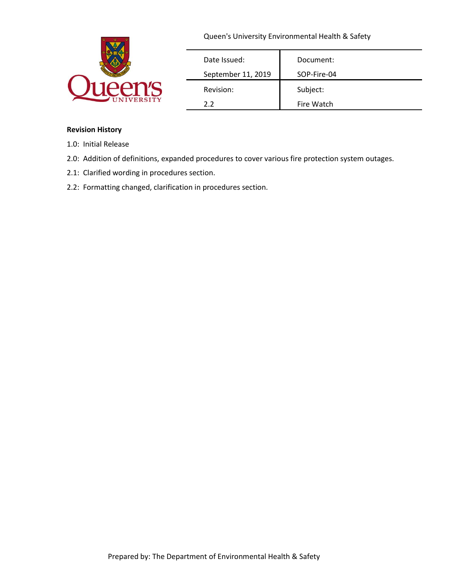|                 | Queen's University Environmental Health & Safety |             |
|-----------------|--------------------------------------------------|-------------|
|                 | Date Issued:                                     | Document:   |
|                 | September 11, 2019                               | SOP-Fire-04 |
|                 | Revision:                                        | Subject:    |
| <b>IVERSITY</b> | 2.2                                              | Fire Watch  |

#### **Revision History**

- 1.0: Initial Release
- 2.0: Addition of definitions, expanded procedures to cover various fire protection system outages.
- 2.1: Clarified wording in procedures section.
- 2.2: Formatting changed, clarification in procedures section.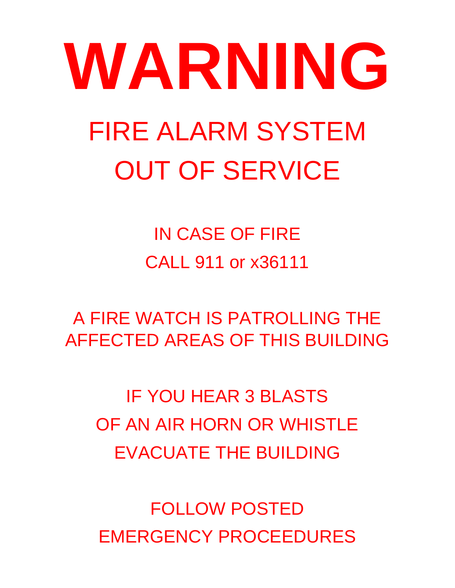# **WARNING** FIRE ALARM SYSTEM OUT OF SERVICE

IN CASE OF FIRE CALL 911 or x36111

A FIRE WATCH IS PATROLLING THE AFFECTED AREAS OF THIS BUILDING

IF YOU HEAR 3 BLASTS OF AN AIR HORN OR WHISTLE EVACUATE THE BUILDING

FOLLOW POSTED EMERGENCY PROCEEDURES